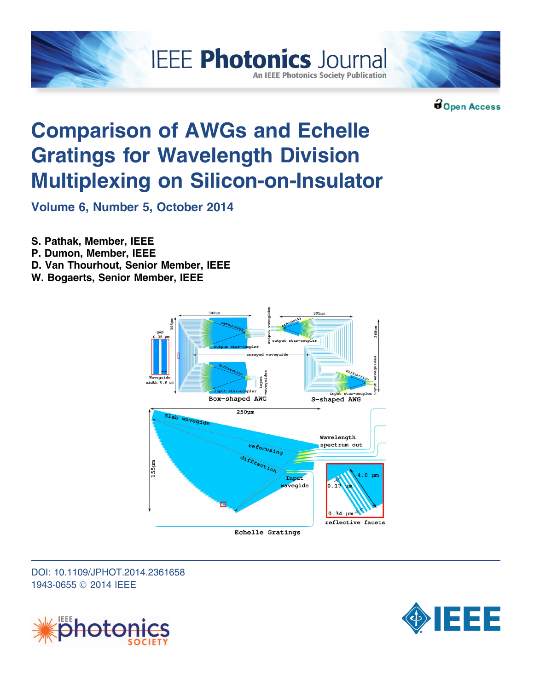

Open Access

# Comparison of AWGs and Echelle Gratings for Wavelength Division Multiplexing on Silicon-on-Insulator

Volume 6, Number 5, October 2014

S. Pathak, Member, IEEE

- P. Dumon, Member, IEEE
- D. Van Thourhout, Senior Member, IEEE

W. Bogaerts, Senior Member, IEEE



DOI: 10.1109/JPHOT.2014.2361658 1943-0655 Ó 2014 IEEE



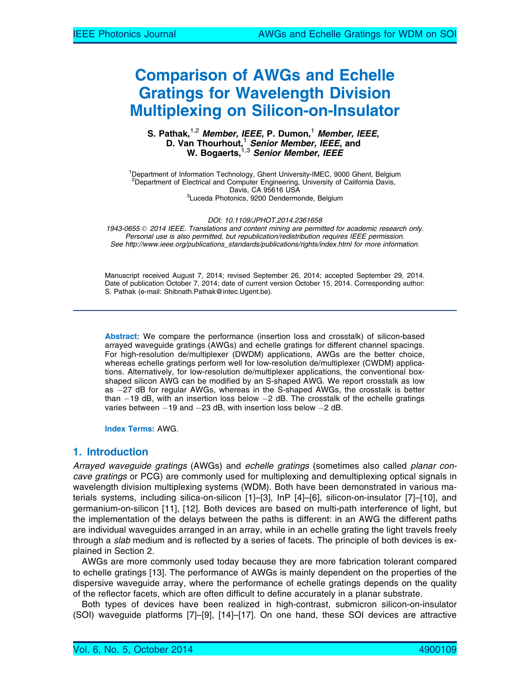# Comparison of AWGs and Echelle Gratings for Wavelength Division Multiplexing on Silicon-on-Insulator

#### S. Pathak,<sup>1,2</sup> Member, IEEE, P. Dumon,<sup>1</sup> Member, IEEE, D. Van Thourhout,<sup>1</sup> Senior Member, IEEE, and W. Bogaerts, <sup>1,3</sup> Senior Member, IEEE

<sup>1</sup>Department of Information Technology, Ghent University-IMEC, 9000 Ghent, Belgium <sup>2</sup> Department of Electrical and Computer Engineering, University of California Davis, Davis, CA 95616 USA<br><sup>3</sup>Luceda Photonics, 9200 Dendermonde, Belgium

DOI: 10.1109/JPHOT.2014.2361658

1943-0655 © 2014 IEEE. Translations and content mining are permitted for academic research only. Personal use is also permitted, but republication/redistribution requires IEEE permission. See http://www.ieee.org/publications\_standards/publications/rights/index.html for more information.

Manuscript received August 7, 2014; revised September 26, 2014; accepted September 29, 2014. Date of publication October 7, 2014; date of current version October 15, 2014. Corresponding author: S. Pathak (e-mail: Shibnath.Pathak@intec.Ugent.be).

Abstract: We compare the performance (insertion loss and crosstalk) of silicon-based arrayed waveguide gratings (AWGs) and echelle gratings for different channel spacings. For high-resolution de/multiplexer (DWDM) applications, AWGs are the better choice, whereas echelle gratings perform well for low-resolution de/multiplexer (CWDM) applications. Alternatively, for low-resolution de/multiplexer applications, the conventional boxshaped silicon AWG can be modified by an S-shaped AWG. We report crosstalk as low as -27 dB for regular AWGs, whereas in the S-shaped AWGs, the crosstalk is better than  $-19$  dB, with an insertion loss below  $-2$  dB. The crosstalk of the echelle gratings varies between  $-19$  and  $-23$  dB, with insertion loss below  $-2$  dB.

Index Terms: AWG.

# 1. Introduction

Arrayed waveguide gratings (AWGs) and echelle gratings (sometimes also called planar concave gratings or PCG) are commonly used for multiplexing and demultiplexing optical signals in wavelength division multiplexing systems (WDM). Both have been demonstrated in various materials systems, including silica-on-silicon [1]–[3], InP [4]–[6], silicon-on-insulator [7]–[10], and germanium-on-silicon [11], [12]. Both devices are based on multi-path interference of light, but the implementation of the delays between the paths is different: in an AWG the different paths are individual waveguides arranged in an array, while in an echelle grating the light travels freely through a slab medium and is reflected by a series of facets. The principle of both devices is explained in Section 2.

AWGs are more commonly used today because they are more fabrication tolerant compared to echelle gratings [13]. The performance of AWGs is mainly dependent on the properties of the dispersive waveguide array, where the performance of echelle gratings depends on the quality of the reflector facets, which are often difficult to define accurately in a planar substrate.

Both types of devices have been realized in high-contrast, submicron silicon-on-insulator (SOI) waveguide platforms [7]–[9], [14]–[17]. On one hand, these SOI devices are attractive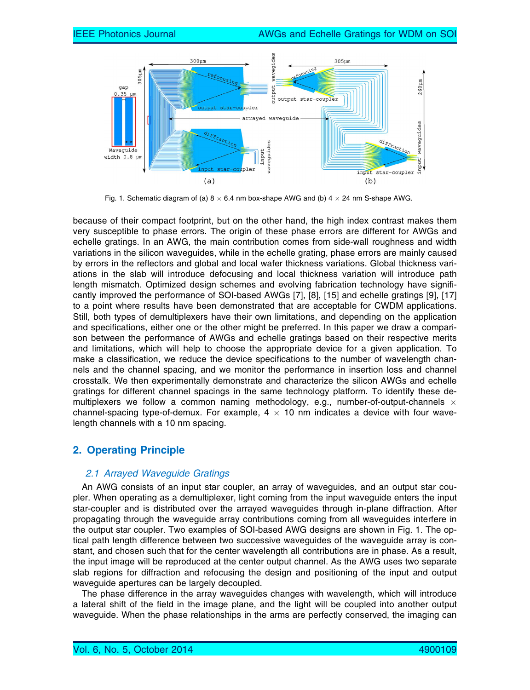

Fig. 1. Schematic diagram of (a)  $8 \times 6.4$  nm box-shape AWG and (b)  $4 \times 24$  nm S-shape AWG.

because of their compact footprint, but on the other hand, the high index contrast makes them very susceptible to phase errors. The origin of these phase errors are different for AWGs and echelle gratings. In an AWG, the main contribution comes from side-wall roughness and width variations in the silicon waveguides, while in the echelle grating, phase errors are mainly caused by errors in the reflectors and global and local wafer thickness variations. Global thickness variations in the slab will introduce defocusing and local thickness variation will introduce path length mismatch. Optimized design schemes and evolving fabrication technology have significantly improved the performance of SOI-based AWGs [7], [8], [15] and echelle gratings [9], [17] to a point where results have been demonstrated that are acceptable for CWDM applications. Still, both types of demultiplexers have their own limitations, and depending on the application and specifications, either one or the other might be preferred. In this paper we draw a comparison between the performance of AWGs and echelle gratings based on their respective merits and limitations, which will help to choose the appropriate device for a given application. To make a classification, we reduce the device specifications to the number of wavelength channels and the channel spacing, and we monitor the performance in insertion loss and channel crosstalk. We then experimentally demonstrate and characterize the silicon AWGs and echelle gratings for different channel spacings in the same technology platform. To identify these demultiplexers we follow a common naming methodology, e.g., number-of-output-channels  $\times$ channel-spacing type-of-demux. For example,  $4 \times 10$  nm indicates a device with four wavelength channels with a 10 nm spacing.

# 2. Operating Principle

## 2.1 Arrayed Waveguide Gratings

An AWG consists of an input star coupler, an array of waveguides, and an output star coupler. When operating as a demultiplexer, light coming from the input waveguide enters the input star-coupler and is distributed over the arrayed waveguides through in-plane diffraction. After propagating through the waveguide array contributions coming from all waveguides interfere in the output star coupler. Two examples of SOI-based AWG designs are shown in Fig. 1. The optical path length difference between two successive waveguides of the waveguide array is constant, and chosen such that for the center wavelength all contributions are in phase. As a result, the input image will be reproduced at the center output channel. As the AWG uses two separate slab regions for diffraction and refocusing the design and positioning of the input and output waveguide apertures can be largely decoupled.

The phase difference in the array waveguides changes with wavelength, which will introduce a lateral shift of the field in the image plane, and the light will be coupled into another output waveguide. When the phase relationships in the arms are perfectly conserved, the imaging can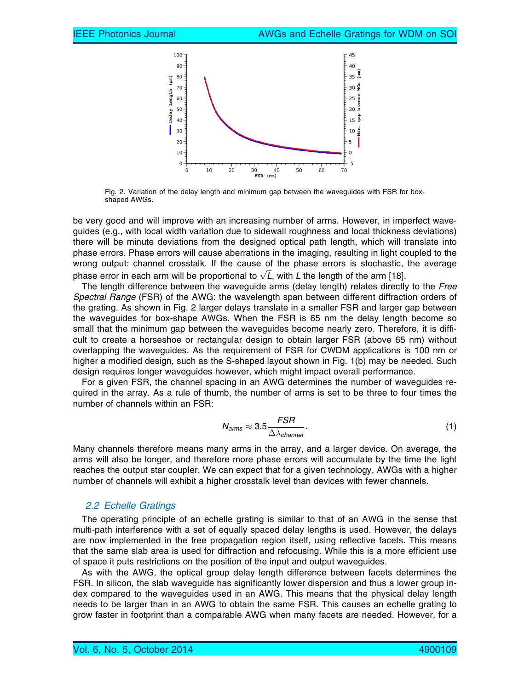

Fig. 2. Variation of the delay length and minimum gap between the waveguides with FSR for boxshaped AWGs.

be very good and will improve with an increasing number of arms. However, in imperfect waveguides (e.g., with local width variation due to sidewall roughness and local thickness deviations) there will be minute deviations from the designed optical path length, which will translate into phase errors. Phase errors will cause aberrations in the imaging, resulting in light coupled to the wrong output: channel crosstalk. If the cause of the phase errors is stochastic, the average wrong output: cnannel crosstalk. It the cause of the phase errors is stochastic,<br>phase error in each arm will be proportional to  $\sqrt{L}$ , with L the length of the arm [18].

The length difference between the waveguide arms (delay length) relates directly to the Free Spectral Range (FSR) of the AWG: the wavelength span between different diffraction orders of the grating. As shown in Fig. 2 larger delays translate in a smaller FSR and larger gap between the waveguides for box-shape AWGs. When the FSR is 65 nm the delay length become so small that the minimum gap between the waveguides become nearly zero. Therefore, it is difficult to create a horseshoe or rectangular design to obtain larger FSR (above 65 nm) without overlapping the waveguides. As the requirement of FSR for CWDM applications is 100 nm or higher a modified design, such as the S-shaped layout shown in Fig. 1(b) may be needed. Such design requires longer waveguides however, which might impact overall performance.

For a given FSR, the channel spacing in an AWG determines the number of waveguides required in the array. As a rule of thumb, the number of arms is set to be three to four times the number of channels within an FSR:

$$
N_{arms} \approx 3.5 \frac{FSR}{\Delta \lambda_{channel}}.\tag{1}
$$

Many channels therefore means many arms in the array, and a larger device. On average, the arms will also be longer, and therefore more phase errors will accumulate by the time the light reaches the output star coupler. We can expect that for a given technology, AWGs with a higher number of channels will exhibit a higher crosstalk level than devices with fewer channels.

#### 2.2 Echelle Gratings

The operating principle of an echelle grating is similar to that of an AWG in the sense that multi-path interference with a set of equally spaced delay lengths is used. However, the delays are now implemented in the free propagation region itself, using reflective facets. This means that the same slab area is used for diffraction and refocusing. While this is a more efficient use of space it puts restrictions on the position of the input and output waveguides.

As with the AWG, the optical group delay length difference between facets determines the FSR. In silicon, the slab waveguide has significantly lower dispersion and thus a lower group index compared to the waveguides used in an AWG. This means that the physical delay length needs to be larger than in an AWG to obtain the same FSR. This causes an echelle grating to grow faster in footprint than a comparable AWG when many facets are needed. However, for a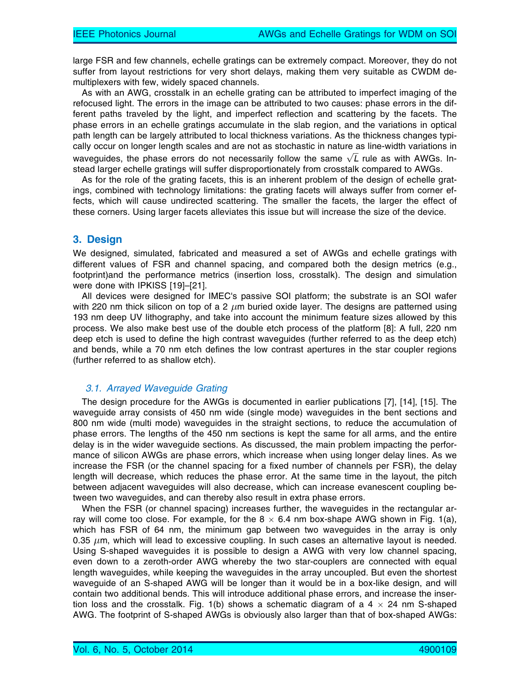large FSR and few channels, echelle gratings can be extremely compact. Moreover, they do not suffer from layout restrictions for very short delays, making them very suitable as CWDM demultiplexers with few, widely spaced channels.

As with an AWG, crosstalk in an echelle grating can be attributed to imperfect imaging of the refocused light. The errors in the image can be attributed to two causes: phase errors in the different paths traveled by the light, and imperfect reflection and scattering by the facets. The phase errors in an echelle gratings accumulate in the slab region, and the variations in optical path length can be largely attributed to local thickness variations. As the thickness changes typically occur on longer length scales and are not as stochastic in nature as line-width variations in cany occur on longer length scales and are not as stochastic in nature as line-width vanations in<br>waveguides, the phase errors do not necessarily follow the same  $\sqrt{L}$  rule as with AWGs. Instead larger echelle gratings will suffer disproportionately from crosstalk compared to AWGs.

As for the role of the grating facets, this is an inherent problem of the design of echelle gratings, combined with technology limitations: the grating facets will always suffer from corner effects, which will cause undirected scattering. The smaller the facets, the larger the effect of these corners. Using larger facets alleviates this issue but will increase the size of the device.

# 3. Design

We designed, simulated, fabricated and measured a set of AWGs and echelle gratings with different values of FSR and channel spacing, and compared both the design metrics (e.g., footprint)and the performance metrics (insertion loss, crosstalk). The design and simulation were done with IPKISS [19]–[21].

All devices were designed for IMEC's passive SOI platform; the substrate is an SOI wafer with 220 nm thick silicon on top of a 2  $\mu$ m buried oxide layer. The designs are patterned using 193 nm deep UV lithography, and take into account the minimum feature sizes allowed by this process. We also make best use of the double etch process of the platform [8]: A full, 220 nm deep etch is used to define the high contrast waveguides (further referred to as the deep etch) and bends, while a 70 nm etch defines the low contrast apertures in the star coupler regions (further referred to as shallow etch).

## 3.1. Arrayed Waveguide Grating

The design procedure for the AWGs is documented in earlier publications [7], [14], [15]. The waveguide array consists of 450 nm wide (single mode) waveguides in the bent sections and 800 nm wide (multi mode) waveguides in the straight sections, to reduce the accumulation of phase errors. The lengths of the 450 nm sections is kept the same for all arms, and the entire delay is in the wider waveguide sections. As discussed, the main problem impacting the performance of silicon AWGs are phase errors, which increase when using longer delay lines. As we increase the FSR (or the channel spacing for a fixed number of channels per FSR), the delay length will decrease, which reduces the phase error. At the same time in the layout, the pitch between adjacent waveguides will also decrease, which can increase evanescent coupling between two waveguides, and can thereby also result in extra phase errors.

When the FSR (or channel spacing) increases further, the waveguides in the rectangular array will come too close. For example, for the  $8 \times 6.4$  nm box-shape AWG shown in Fig. 1(a), which has FSR of 64 nm, the minimum gap between two waveguides in the array is only 0.35  $\mu$ m, which will lead to excessive coupling. In such cases an alternative layout is needed. Using S-shaped waveguides it is possible to design a AWG with very low channel spacing, even down to a zeroth-order AWG whereby the two star-couplers are connected with equal length waveguides, while keeping the waveguides in the array uncoupled. But even the shortest waveguide of an S-shaped AWG will be longer than it would be in a box-like design, and will contain two additional bends. This will introduce additional phase errors, and increase the insertion loss and the crosstalk. Fig. 1(b) shows a schematic diagram of a 4  $\times$  24 nm S-shaped AWG. The footprint of S-shaped AWGs is obviously also larger than that of box-shaped AWGs: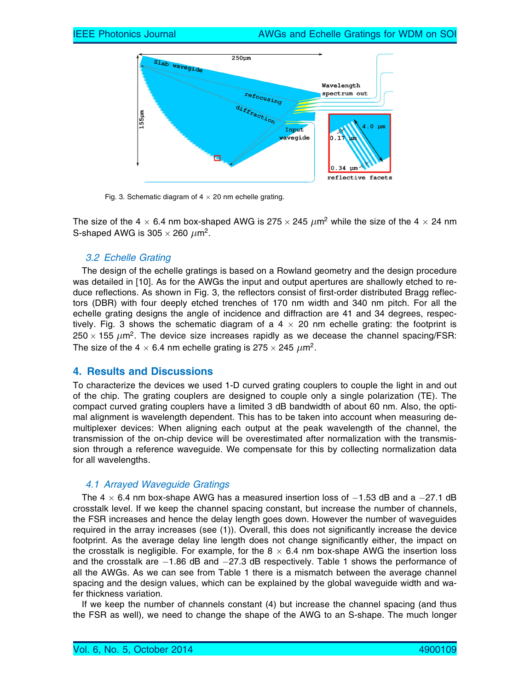

Fig. 3. Schematic diagram of  $4 \times 20$  nm echelle grating.

The size of the 4  $\times$  6.4 nm box-shaped AWG is 275  $\times$  245  $\mu$ m<sup>2</sup> while the size of the 4  $\times$  24 nm S-shaped AWG is  $305 \times 260 \ \mu m^2$ .

#### 3.2 Echelle Grating

The design of the echelle gratings is based on a Rowland geometry and the design procedure was detailed in [10]. As for the AWGs the input and output apertures are shallowly etched to reduce reflections. As shown in Fig. 3, the reflectors consist of first-order distributed Bragg reflectors (DBR) with four deeply etched trenches of 170 nm width and 340 nm pitch. For all the echelle grating designs the angle of incidence and diffraction are 41 and 34 degrees, respectively. Fig. 3 shows the schematic diagram of a  $4 \times 20$  nm echelle grating: the footprint is  $250 \times 155 \ \mu m^2$ . The device size increases rapidly as we decease the channel spacing/FSR: The size of the 4  $\times$  6.4 nm echelle grating is 275  $\times$  245  $\mu$ m<sup>2</sup>.

#### 4. Results and Discussions

To characterize the devices we used 1-D curved grating couplers to couple the light in and out of the chip. The grating couplers are designed to couple only a single polarization (TE). The compact curved grating couplers have a limited 3 dB bandwidth of about 60 nm. Also, the optimal alignment is wavelength dependent. This has to be taken into account when measuring demultiplexer devices: When aligning each output at the peak wavelength of the channel, the transmission of the on-chip device will be overestimated after normalization with the transmission through a reference waveguide. We compensate for this by collecting normalization data for all wavelengths.

#### 4.1 Arrayed Waveguide Gratings

The 4  $\times$  6.4 nm box-shape AWG has a measured insertion loss of  $-1.53$  dB and a  $-27.1$  dB crosstalk level. If we keep the channel spacing constant, but increase the number of channels, the FSR increases and hence the delay length goes down. However the number of waveguides required in the array increases (see (1)). Overall, this does not significantly increase the device footprint. As the average delay line length does not change significantly either, the impact on the crosstalk is negligible. For example, for the  $8 \times 6.4$  nm box-shape AWG the insertion loss and the crosstalk are  $-1.86$  dB and  $-27.3$  dB respectively. Table 1 shows the performance of all the AWGs. As we can see from Table 1 there is a mismatch between the average channel spacing and the design values, which can be explained by the global waveguide width and wafer thickness variation.

If we keep the number of channels constant (4) but increase the channel spacing (and thus the FSR as well), we need to change the shape of the AWG to an S-shape. The much longer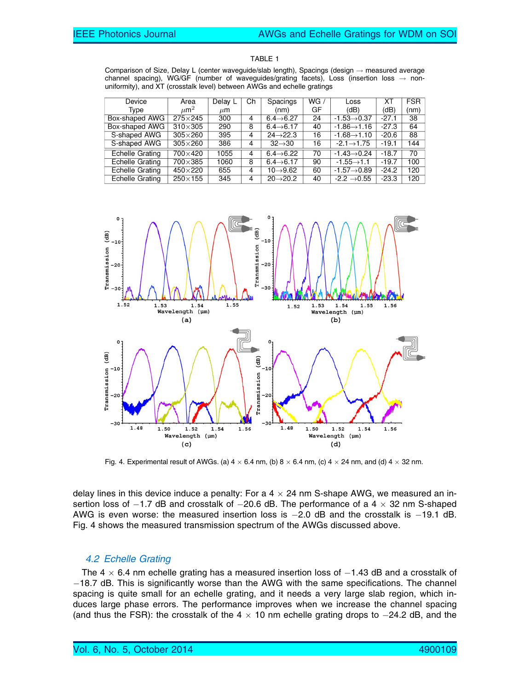|--|--|

Comparison of Size, Delay L (center waveguide/slab length), Spacings (design  $\rightarrow$  measured average channel spacing), WG/GF (number of waveguides/grating facets), Loss (insertion loss  $\rightarrow$  nonuniformity), and XT (crosstalk level) between AWGs and echelle gratings

| Device                 | Area                 | Delay L | Ch | Spacings               | WG / | Loss                     | ХT      | <b>FSR</b> |
|------------------------|----------------------|---------|----|------------------------|------|--------------------------|---------|------------|
| Type                   | $\mu$ m <sup>2</sup> | $\mu$ m |    | (nm)                   | GF   | (dB)                     | (dB)    | (nm)       |
| Box-shaped AWG         | $275 \times 245$     | 300     |    | $6.4 \rightarrow 6.27$ | 24   | $-1.53 \rightarrow 0.37$ | $-27.1$ | 38         |
| Box-shaped AWG         | $310\times305$       | 290     | 8  | $6.4 \rightarrow 6.17$ | 40   | $-1.86 \rightarrow 1.16$ | $-27.3$ | 64         |
| S-shaped AWG           | $305\times260$       | 395     | 4  | $24 \rightarrow 22.3$  | 16   | $-1.68 \rightarrow 1.10$ | $-20.6$ | 88         |
| S-shaped AWG           | $305\times260$       | 386     | 4  | $32 \rightarrow 30$    | 16   | $-2.1 \rightarrow 1.75$  | $-19.1$ | 144        |
| <b>Echelle Grating</b> | 700×420              | 1055    |    | $6.4 \rightarrow 6.22$ | 70   | $-1.43 \rightarrow 0.24$ | $-18.7$ | 70         |
| <b>Echelle Grating</b> | $700\times385$       | 1060    | 8  | $6.4 \rightarrow 6.17$ | 90   | $-1.55 \rightarrow 1.1$  | $-19.7$ | 100        |
| Echelle Grating        | $450\times220$       | 655     | 4  | $10 \rightarrow 9.62$  | 60   | $-1.57 \rightarrow 0.89$ | $-24.2$ | 120        |
| Echelle Grating        | $250 \times 155$     | 345     | 4  | $20 \rightarrow 20.2$  | 40   | $-2.2 \rightarrow 0.55$  | $-23.3$ | 120        |



Fig. 4. Experimental result of AWGs. (a)  $4 \times 6.4$  nm, (b)  $8 \times 6.4$  nm, (c)  $4 \times 24$  nm, and (d)  $4 \times 32$  nm.

delay lines in this device induce a penalty: For a  $4 \times 24$  nm S-shape AWG, we measured an insertion loss of  $-1.7$  dB and crosstalk of  $-20.6$  dB. The performance of a 4  $\times$  32 nm S-shaped AWG is even worse: the measured insertion loss is  $-2.0$  dB and the crosstalk is  $-19.1$  dB. Fig. 4 shows the measured transmission spectrum of the AWGs discussed above.

## 4.2 Echelle Grating

The 4  $\times$  6.4 nm echelle grating has a measured insertion loss of  $-1.43$  dB and a crosstalk of  $-18.7$  dB. This is significantly worse than the AWG with the same specifications. The channel spacing is quite small for an echelle grating, and it needs a very large slab region, which induces large phase errors. The performance improves when we increase the channel spacing (and thus the FSR): the crosstalk of the  $4 \times 10$  nm echelle grating drops to  $-24.2$  dB, and the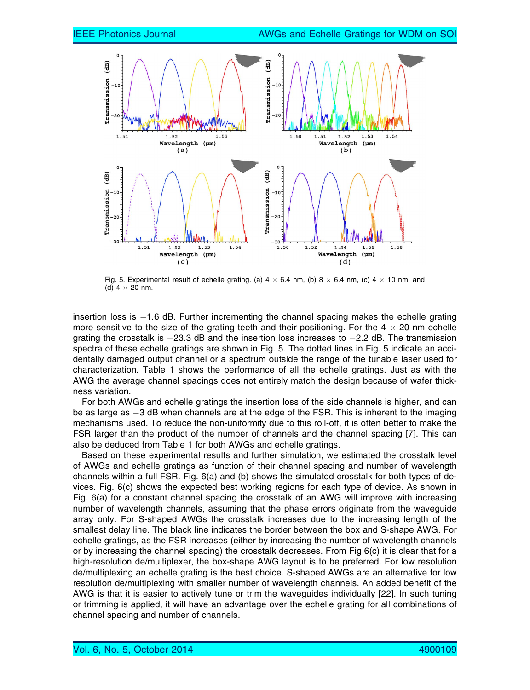

Fig. 5. Experimental result of echelle grating. (a)  $4 \times 6.4$  nm, (b)  $8 \times 6.4$  nm, (c)  $4 \times 10$  nm, and (d)  $4 \times 20$  nm.

insertion loss is  $-1.6$  dB. Further incrementing the channel spacing makes the echelle grating more sensitive to the size of the grating teeth and their positioning. For the  $4 \times 20$  nm echelle grating the crosstalk is  $-23.3$  dB and the insertion loss increases to  $-2.2$  dB. The transmission spectra of these echelle gratings are shown in Fig. 5. The dotted lines in Fig. 5 indicate an accidentally damaged output channel or a spectrum outside the range of the tunable laser used for characterization. Table 1 shows the performance of all the echelle gratings. Just as with the AWG the average channel spacings does not entirely match the design because of wafer thickness variation.

For both AWGs and echelle gratings the insertion loss of the side channels is higher, and can be as large as -3 dB when channels are at the edge of the FSR. This is inherent to the imaging mechanisms used. To reduce the non-uniformity due to this roll-off, it is often better to make the FSR larger than the product of the number of channels and the channel spacing [7]. This can also be deduced from Table 1 for both AWGs and echelle gratings.

Based on these experimental results and further simulation, we estimated the crosstalk level of AWGs and echelle gratings as function of their channel spacing and number of wavelength channels within a full FSR. Fig. 6(a) and (b) shows the simulated crosstalk for both types of devices. Fig. 6(c) shows the expected best working regions for each type of device. As shown in Fig. 6(a) for a constant channel spacing the crosstalk of an AWG will improve with increasing number of wavelength channels, assuming that the phase errors originate from the waveguide array only. For S-shaped AWGs the crosstalk increases due to the increasing length of the smallest delay line. The black line indicates the border between the box and S-shape AWG. For echelle gratings, as the FSR increases (either by increasing the number of wavelength channels or by increasing the channel spacing) the crosstalk decreases. From Fig  $6(c)$  it is clear that for a high-resolution de/multiplexer, the box-shape AWG layout is to be preferred. For low resolution de/multiplexing an echelle grating is the best choice. S-shaped AWGs are an alternative for low resolution de/multiplexing with smaller number of wavelength channels. An added benefit of the AWG is that it is easier to actively tune or trim the waveguides individually [22]. In such tuning or trimming is applied, it will have an advantage over the echelle grating for all combinations of channel spacing and number of channels.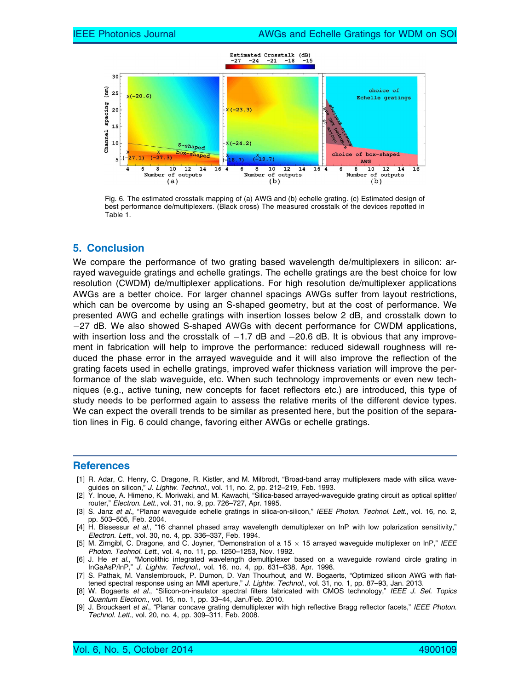

Fig. 6. The estimated crosstalk mapping of (a) AWG and (b) echelle grating. (c) Estimated design of best performance de/multiplexers. (Black cross) The measured crosstalk of the devices repotted in Table 1.

# 5. Conclusion

We compare the performance of two grating based wavelength de/multiplexers in silicon: arrayed waveguide gratings and echelle gratings. The echelle gratings are the best choice for low resolution (CWDM) de/multiplexer applications. For high resolution de/multiplexer applications AWGs are a better choice. For larger channel spacings AWGs suffer from layout restrictions, which can be overcome by using an S-shaped geometry, but at the cost of performance. We presented AWG and echelle gratings with insertion losses below 2 dB, and crosstalk down to 27 dB. We also showed S-shaped AWGs with decent performance for CWDM applications, with insertion loss and the crosstalk of  $-1.7$  dB and  $-20.6$  dB. It is obvious that any improvement in fabrication will help to improve the performance: reduced sidewall roughness will reduced the phase error in the arrayed waveguide and it will also improve the reflection of the grating facets used in echelle gratings, improved wafer thickness variation will improve the performance of the slab waveguide, etc. When such technology improvements or even new techniques (e.g., active tuning, new concepts for facet reflectors etc.) are introduced, this type of study needs to be performed again to assess the relative merits of the different device types. We can expect the overall trends to be similar as presented here, but the position of the separation lines in Fig. 6 could change, favoring either AWGs or echelle gratings.

#### **References**

- [1] R. Adar, C. Henry, C. Dragone, R. Kistler, and M. Milbrodt, "Broad-band array multiplexers made with silica waveguides on silicon," J. Lightw. Technol., vol. 11, no. 2, pp. 212-219, Feb. 1993.
- [2] Y. Inoue, A. Himeno, K. Moriwaki, and M. Kawachi, "Silica-based arrayed-waveguide grating circuit as optical splitter/ router," Electron. Lett., vol. 31, no. 9, pp. 726–727, Apr. 1995.
- [3] S. Janz et al., "Planar waveguide echelle gratings in silica-on-silicon," IEEE Photon. Technol. Lett., vol. 16, no. 2, pp. 503–505, Feb. 2004.
- [4] H. Bissessur et al., "16 channel phased array wavelength demultiplexer on InP with low polarization sensitivity," Electron. Lett., vol. 30, no. 4, pp. 336–337, Feb. 1994.
- [5] M. Zirngibl, C. Dragone, and C. Joyner, "Demonstration of a 15  $\times$  15 arrayed waveguide multiplexer on InP," IEEE Photon. Technol. Lett., vol. 4, no. 11, pp. 1250–1253, Nov. 1992.
- [6] J. He et al., "Monolithic integrated wavelength demultiplexer based on a waveguide rowland circle grating in InGaAsP/lnP," J. Lightw. Technol., vol. 16, no. 4, pp. 631–638, Apr. 1998.
- [7] S. Pathak, M. Vanslembrouck, P. Dumon, D. Van Thourhout, and W. Bogaerts, "Optimized silicon AWG with flattened spectral response using an MMI aperture," J. Lightw. Technol., vol. 31, no. 1, pp. 87-93, Jan. 2013.
- [8] W. Bogaerts et al., "Silicon-on-insulator spectral filters fabricated with CMOS technology," IEEE J. Sel. Topics Quantum Electron., vol. 16, no. 1, pp. 33–44, Jan./Feb. 2010.
- [9] J. Brouckaert et al., "Planar concave grating demultiplexer with high reflective Bragg reflector facets," IEEE Photon. Technol. Lett., vol. 20, no. 4, pp. 309–311, Feb. 2008.